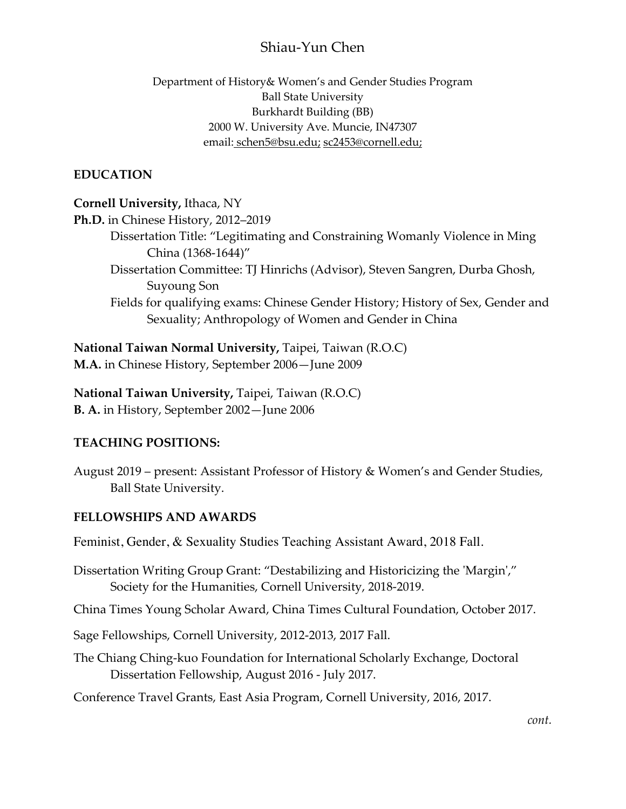# Shiau-Yun Chen

### Department of History& Women's and Gender Studies Program Ball State University Burkhardt Building (BB) 2000 W. University Ave. Muncie, IN47307 email: schen5@bsu.edu; sc2453@cornell.edu;

## **EDUCATION**

### **Cornell University,** Ithaca, NY

**Ph.D.** in Chinese History, 2012–2019

- Dissertation Title: "Legitimating and Constraining Womanly Violence in Ming China (1368-1644)"
- Dissertation Committee: TJ Hinrichs (Advisor), Steven Sangren, Durba Ghosh, Suyoung Son
- Fields for qualifying exams: Chinese Gender History; History of Sex, Gender and Sexuality; Anthropology of Women and Gender in China

**National Taiwan Normal University,** Taipei, Taiwan (R.O.C) **M.A.** in Chinese History, September 2006—June 2009

**National Taiwan University,** Taipei, Taiwan (R.O.C) **B. A.** in History, September 2002—June 2006

### **TEACHING POSITIONS:**

August 2019 – present: Assistant Professor of History & Women's and Gender Studies, Ball State University.

# **FELLOWSHIPS AND AWARDS**

Feminist, Gender, & Sexuality Studies Teaching Assistant Award, 2018 Fall.

Dissertation Writing Group Grant: "Destabilizing and Historicizing the 'Margin'," Society for the Humanities, Cornell University, 2018-2019.

China Times Young Scholar Award, China Times Cultural Foundation, October 2017.

Sage Fellowships, Cornell University, 2012-2013, 2017 Fall.

The Chiang Ching-kuo Foundation for International Scholarly Exchange, Doctoral Dissertation Fellowship, August 2016 - July 2017.

Conference Travel Grants, East Asia Program, Cornell University, 2016, 2017.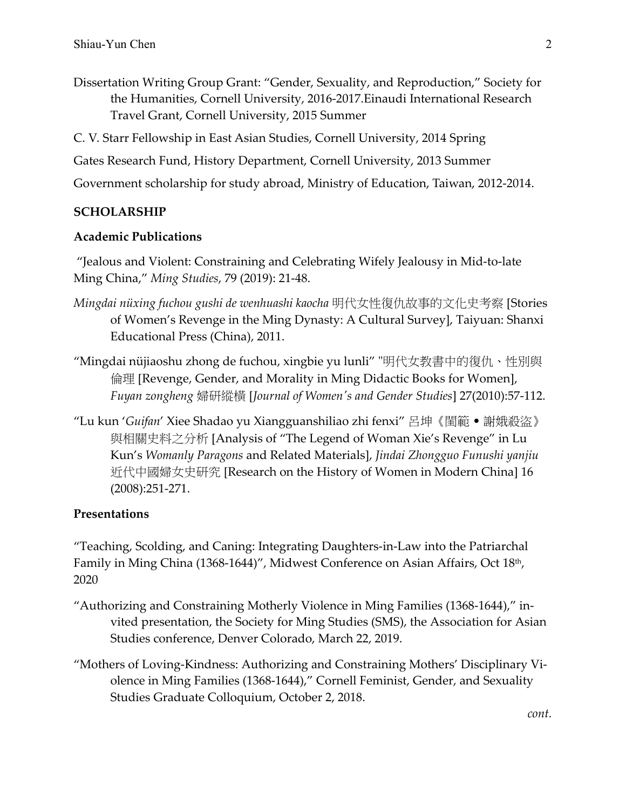Dissertation Writing Group Grant: "Gender, Sexuality, and Reproduction," Society for the Humanities, Cornell University, 2016-2017.Einaudi International Research Travel Grant, Cornell University, 2015 Summer

C. V. Starr Fellowship in East Asian Studies, Cornell University, 2014 Spring

Gates Research Fund, History Department, Cornell University, 2013 Summer

Government scholarship for study abroad, Ministry of Education, Taiwan, 2012-2014.

#### **SCHOLARSHIP**

#### **Academic Publications**

"Jealous and Violent: Constraining and Celebrating Wifely Jealousy in Mid-to-late Ming China," *Ming Studies*, 79 (2019): 21-48.

- *Mingdai nüxing fuchou gushi de wenhuashi kaocha* 明代女性復仇故事的文化史考察 [Stories of Women's Revenge in the Ming Dynasty: A Cultural Survey], Taiyuan: Shanxi Educational Press (China), 2011.
- "Mingdai nüjiaoshu zhong de fuchou, xingbie yu lunli" "明代女教書中的復仇、性別與 倫理 [Revenge, Gender, and Morality in Ming Didactic Books for Women], *Fuyan zongheng* 婦研縱橫 [*Journal of Women's and Gender Studies*] 27(2010):57-112.
- "Lu kun '*Guifan*' Xiee Shadao yu Xiangguanshiliao zhi fenxi" 呂坤《閨範 謝娥殺盜》 與相關史料之分析 [Analysis of "The Legend of Woman Xie's Revenge" in Lu Kun's *Womanly Paragons* and Related Materials], *Jindai Zhongguo Funushi yanjiu* 近代中國婦女史研究 [Research on the History of Women in Modern China] 16 (2008):251-271.

#### **Presentations**

"Teaching, Scolding, and Caning: Integrating Daughters-in-Law into the Patriarchal Family in Ming China (1368-1644)", Midwest Conference on Asian Affairs, Oct 18<sup>th</sup>, 2020

- "Authorizing and Constraining Motherly Violence in Ming Families (1368-1644)," invited presentation, the Society for Ming Studies (SMS), the Association for Asian Studies conference, Denver Colorado, March 22, 2019.
- "Mothers of Loving-Kindness: Authorizing and Constraining Mothers' Disciplinary Violence in Ming Families (1368-1644)," Cornell Feminist, Gender, and Sexuality Studies Graduate Colloquium, October 2, 2018.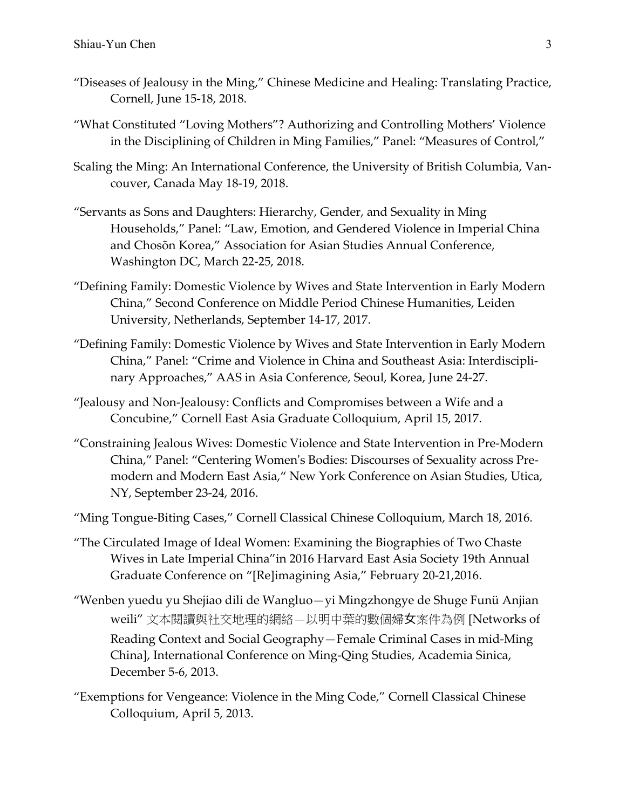- "Diseases of Jealousy in the Ming," Chinese Medicine and Healing: Translating Practice, Cornell, June 15-18, 2018.
- "What Constituted "Loving Mothers"? Authorizing and Controlling Mothers' Violence in the Disciplining of Children in Ming Families," Panel: "Measures of Control,"
- Scaling the Ming: An International Conference, the University of British Columbia, Vancouver, Canada May 18-19, 2018.
- "Servants as Sons and Daughters: Hierarchy, Gender, and Sexuality in Ming Households," Panel: "Law, Emotion, and Gendered Violence in Imperial China and Chosõn Korea," Association for Asian Studies Annual Conference, Washington DC, March 22-25, 2018.
- "Defining Family: Domestic Violence by Wives and State Intervention in Early Modern China," Second Conference on Middle Period Chinese Humanities, Leiden University, Netherlands, September 14-17, 2017.
- "Defining Family: Domestic Violence by Wives and State Intervention in Early Modern China," Panel: "Crime and Violence in China and Southeast Asia: Interdisciplinary Approaches," AAS in Asia Conference, Seoul, Korea, June 24-27.
- "Jealousy and Non-Jealousy: Conflicts and Compromises between a Wife and a Concubine," Cornell East Asia Graduate Colloquium, April 15, 2017.
- "Constraining Jealous Wives: Domestic Violence and State Intervention in Pre-Modern China," Panel: "Centering Women's Bodies: Discourses of Sexuality across Premodern and Modern East Asia," New York Conference on Asian Studies, Utica, NY, September 23-24, 2016.
- "Ming Tongue-Biting Cases," Cornell Classical Chinese Colloquium, March 18, 2016.
- "The Circulated Image of Ideal Women: Examining the Biographies of Two Chaste Wives in Late Imperial China"in 2016 Harvard East Asia Society 19th Annual Graduate Conference on "[Re]imagining Asia," February 20-21,2016.
- "Wenben yuedu yu Shejiao dili de Wangluo—yi Mingzhongye de Shuge Funü Anjian weili" 文本閱讀與社交地理的網絡 以明中葉的數個婦女案件為例 [Networks of Reading Context and Social Geography—Female Criminal Cases in mid-Ming China], International Conference on Ming-Qing Studies, Academia Sinica, December 5-6, 2013.
- "Exemptions for Vengeance: Violence in the Ming Code," Cornell Classical Chinese Colloquium, April 5, 2013.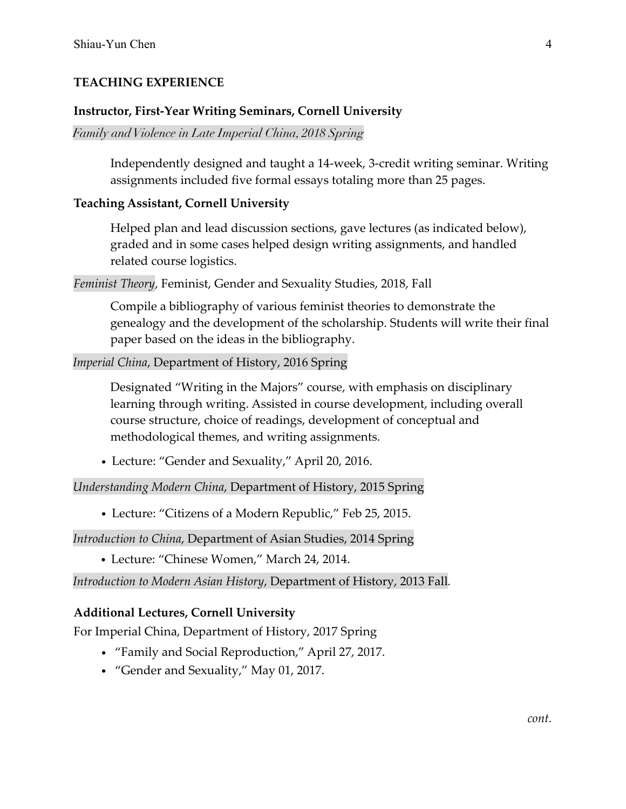### **TEACHING EXPERIENCE**

#### **Instructor, First-Year Writing Seminars, Cornell University**

*Family andViolence in Late Imperial China, 2018 Spring*

Independently designed and taught a 14-week, 3-credit writing seminar. Writing assignments included five formal essays totaling more than 25 pages.

#### **Teaching Assistant, Cornell University**

Helped plan and lead discussion sections, gave lectures (as indicated below), graded and in some cases helped design writing assignments, and handled related course logistics.

*Feminist Theory*, Feminist, Gender and Sexuality Studies, 2018, Fall

Compile a bibliography of various feminist theories to demonstrate the genealogy and the development of the scholarship. Students will write their final paper based on the ideas in the bibliography.

#### *Imperial China*, Department of History, 2016 Spring

Designated "Writing in the Majors" course, with emphasis on disciplinary learning through writing. Assisted in course development, including overall course structure, choice of readings, development of conceptual and methodological themes, and writing assignments.

• Lecture: "Gender and Sexuality," April 20, 2016.

*Understanding Modern China*, Department of History, 2015 Spring

• Lecture: "Citizens of a Modern Republic," Feb 25, 2015.

*Introduction to China*, Department of Asian Studies, 2014 Spring

• Lecture: "Chinese Women," March 24, 2014.

*Introduction to Modern Asian History*, Department of History, 2013 Fall*.*

### **Additional Lectures, Cornell University**

For Imperial China, Department of History, 2017 Spring

- "Family and Social Reproduction," April 27, 2017.
- "Gender and Sexuality," May 01, 2017.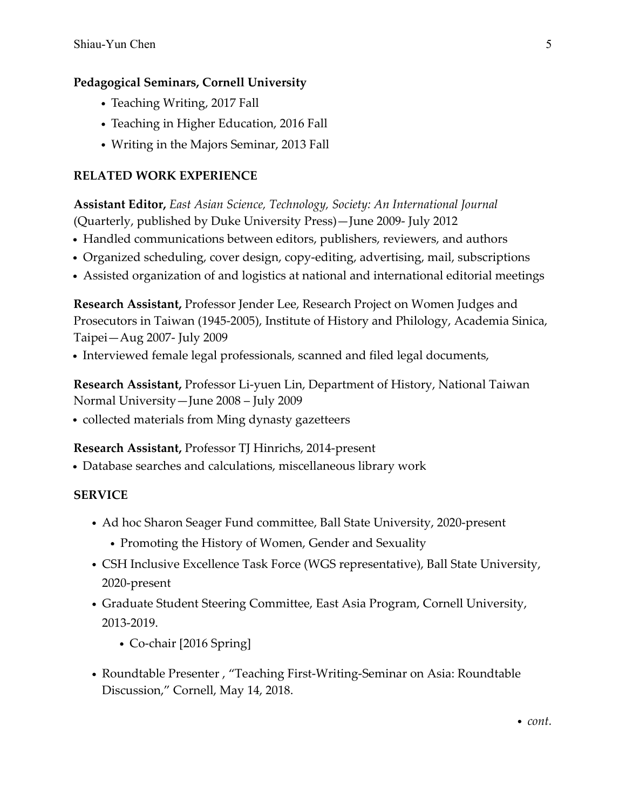# **Pedagogical Seminars, Cornell University**

- Teaching Writing, 2017 Fall
- Teaching in Higher Education, 2016 Fall
- Writing in the Majors Seminar, 2013 Fall

# **RELATED WORK EXPERIENCE**

**Assistant Editor,** *East Asian Science, Technology, Society: An International Journal* (Quarterly, published by Duke University Press)—June 2009- July 2012

- Handled communications between editors, publishers, reviewers, and authors
- Organized scheduling, cover design, copy-editing, advertising, mail, subscriptions
- Assisted organization of and logistics at national and international editorial meetings

**Research Assistant,** Professor Jender Lee, Research Project on Women Judges and Prosecutors in Taiwan (1945-2005), Institute of History and Philology, Academia Sinica, Taipei—Aug 2007- July 2009

• Interviewed female legal professionals, scanned and filed legal documents,

**Research Assistant,** Professor Li-yuen Lin, Department of History, National Taiwan Normal University—June 2008 – July 2009

• collected materials from Ming dynasty gazetteers

# **Research Assistant,** Professor TJ Hinrichs, 2014-present

• Database searches and calculations, miscellaneous library work

# **SERVICE**

- Ad hoc Sharon Seager Fund committee, Ball State University, 2020-present
	- Promoting the History of Women, Gender and Sexuality
- CSH Inclusive Excellence Task Force (WGS representative), Ball State University, 2020-present
- Graduate Student Steering Committee, East Asia Program, Cornell University, 2013-2019.
	- Co-chair [2016 Spring]
- Roundtable Presenter , "Teaching First-Writing-Seminar on Asia: Roundtable Discussion," Cornell, May 14, 2018.